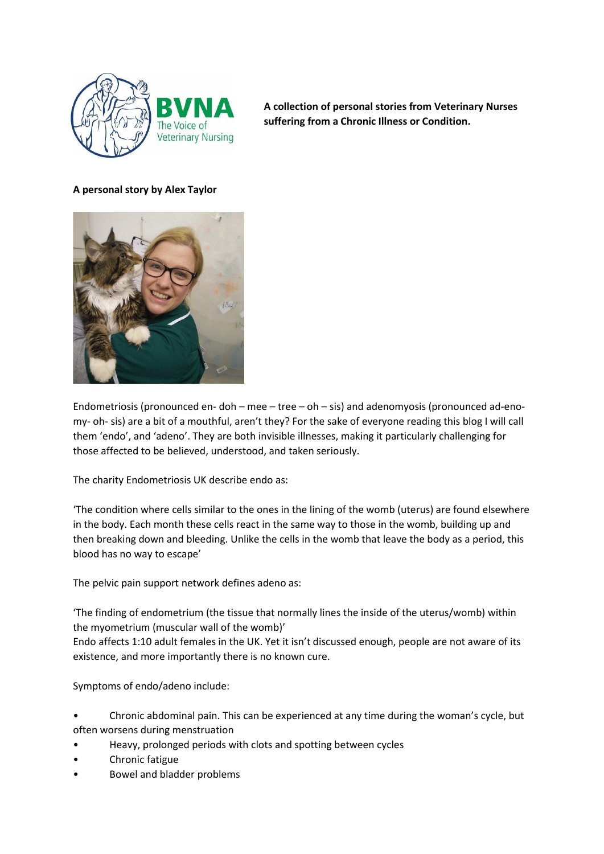

**A collection of personal stories from Veterinary Nurses suffering from a Chronic Illness or Condition.** 

# **A personal story by Alex Taylor**



Endometriosis (pronounced en- doh – mee – tree – oh – sis) and adenomyosis (pronounced ad-enomy- oh- sis) are a bit of a mouthful, aren't they? For the sake of everyone reading this blog I will call them 'endo', and 'adeno'. They are both invisible illnesses, making it particularly challenging for those affected to be believed, understood, and taken seriously.

The charity Endometriosis UK describe endo as:

'The condition where cells similar to the ones in the lining of the womb (uterus) are found elsewhere in the body. Each month these cells react in the same way to those in the womb, building up and then breaking down and bleeding. Unlike the cells in the womb that leave the body as a period, this blood has no way to escape'

The pelvic pain support network defines adeno as:

'The finding of endometrium (the tissue that normally lines the inside of the uterus/womb) within the myometrium (muscular wall of the womb)'

Endo affects 1:10 adult females in the UK. Yet it isn't discussed enough, people are not aware of its existence, and more importantly there is no known cure.

Symptoms of endo/adeno include:

- Chronic abdominal pain. This can be experienced at any time during the woman's cycle, but often worsens during menstruation
- Heavy, prolonged periods with clots and spotting between cycles
- Chronic fatigue
- Bowel and bladder problems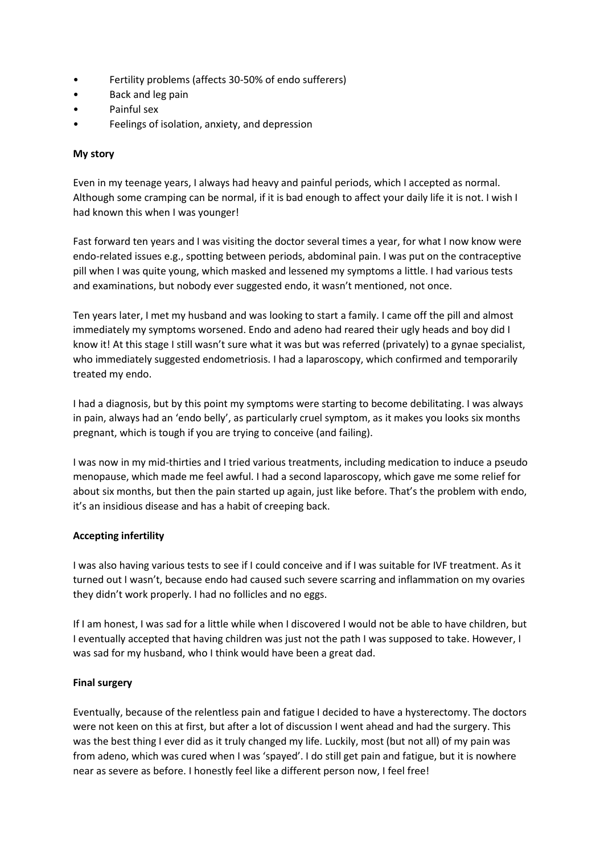- Fertility problems (affects 30-50% of endo sufferers)
- Back and leg pain
- Painful sex
- Feelings of isolation, anxiety, and depression

### **My story**

Even in my teenage years, I always had heavy and painful periods, which I accepted as normal. Although some cramping can be normal, if it is bad enough to affect your daily life it is not. I wish I had known this when I was younger!

Fast forward ten years and I was visiting the doctor several times a year, for what I now know were endo-related issues e.g., spotting between periods, abdominal pain. I was put on the contraceptive pill when I was quite young, which masked and lessened my symptoms a little. I had various tests and examinations, but nobody ever suggested endo, it wasn't mentioned, not once.

Ten years later, I met my husband and was looking to start a family. I came off the pill and almost immediately my symptoms worsened. Endo and adeno had reared their ugly heads and boy did I know it! At this stage I still wasn't sure what it was but was referred (privately) to a gynae specialist, who immediately suggested endometriosis. I had a laparoscopy, which confirmed and temporarily treated my endo.

I had a diagnosis, but by this point my symptoms were starting to become debilitating. I was always in pain, always had an 'endo belly', as particularly cruel symptom, as it makes you looks six months pregnant, which is tough if you are trying to conceive (and failing).

I was now in my mid-thirties and I tried various treatments, including medication to induce a pseudo menopause, which made me feel awful. I had a second laparoscopy, which gave me some relief for about six months, but then the pain started up again, just like before. That's the problem with endo, it's an insidious disease and has a habit of creeping back.

# **Accepting infertility**

I was also having various tests to see if I could conceive and if I was suitable for IVF treatment. As it turned out I wasn't, because endo had caused such severe scarring and inflammation on my ovaries they didn't work properly. I had no follicles and no eggs.

If I am honest, I was sad for a little while when I discovered I would not be able to have children, but I eventually accepted that having children was just not the path I was supposed to take. However, I was sad for my husband, who I think would have been a great dad.

#### **Final surgery**

Eventually, because of the relentless pain and fatigue I decided to have a hysterectomy. The doctors were not keen on this at first, but after a lot of discussion I went ahead and had the surgery. This was the best thing I ever did as it truly changed my life. Luckily, most (but not all) of my pain was from adeno, which was cured when I was 'spayed'. I do still get pain and fatigue, but it is nowhere near as severe as before. I honestly feel like a different person now, I feel free!